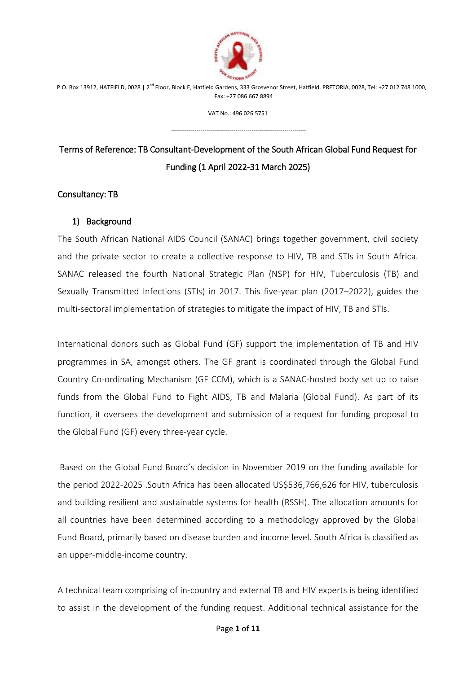

VAT No.: 496 026 5751

---------------------------------------------------------------------

# Terms of Reference: TB Consultant-Development of the South African Global Fund Request for Funding (1 April 2022-31 March 2025)

#### Consultancy: TB

#### 1) Background

The South African National AIDS Council (SANAC) brings together government, civil society and the private sector to create a collective response to HIV, TB and STIs in South Africa. SANAC released the fourth National Strategic Plan (NSP) for HIV, Tuberculosis (TB) and Sexually Transmitted Infections (STIs) in 2017. This five-year plan (2017–2022), guides the multi-sectoral implementation of strategies to mitigate the impact of HIV, TB and STIs.

International donors such as Global Fund (GF) support the implementation of TB and HIV programmes in SA, amongst others. The GF grant is coordinated through the Global Fund Country Co-ordinating Mechanism (GF CCM), which is a SANAC-hosted body set up to raise funds from the Global Fund to Fight AIDS, TB and Malaria (Global Fund). As part of its function, it oversees the development and submission of a request for funding proposal to the Global Fund (GF) every three-year cycle.

Based on the Global Fund Board's decision in November 2019 on the funding available for the period 2022-2025 .South Africa has been allocated US\$536,766,626 for HIV, tuberculosis and building resilient and sustainable systems for health (RSSH). The allocation amounts for all countries have been determined according to a methodology approved by the Global Fund Board, primarily based on disease burden and income level. South Africa is classified as an upper-middle-income country.

A technical team comprising of in-country and external TB and HIV experts is being identified to assist in the development of the funding request. Additional technical assistance for the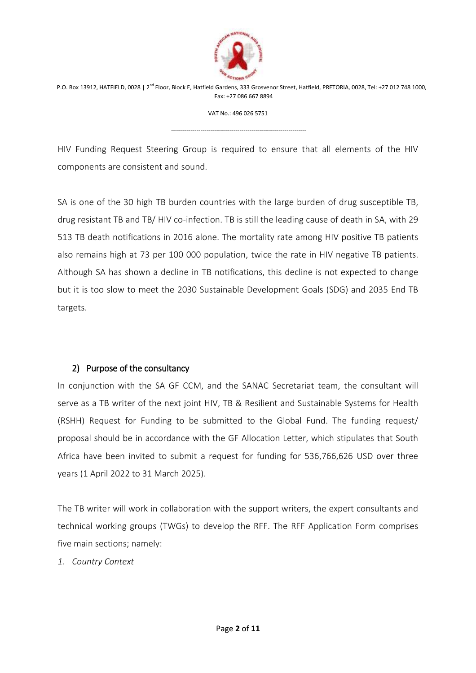

VAT No.: 496 026 5751

---------------------------------------------------------------------

HIV Funding Request Steering Group is required to ensure that all elements of the HIV components are consistent and sound.

SA is one of the 30 high TB burden countries with the large burden of drug susceptible TB, drug resistant TB and TB/ HIV co-infection. TB is still the leading cause of death in SA, with 29 513 TB death notifications in 2016 alone. The mortality rate among HIV positive TB patients also remains high at 73 per 100 000 population, twice the rate in HIV negative TB patients. Although SA has shown a decline in TB notifications, this decline is not expected to change but it is too slow to meet the 2030 Sustainable Development Goals (SDG) and 2035 End TB targets.

## 2) Purpose of the consultancy

In conjunction with the SA GF CCM, and the SANAC Secretariat team, the consultant will serve as a TB writer of the next joint HIV, TB & Resilient and Sustainable Systems for Health (RSHH) Request for Funding to be submitted to the Global Fund. The funding request/ proposal should be in accordance with the GF Allocation Letter, which stipulates that South Africa have been invited to submit a request for funding for 536,766,626 USD over three years (1 April 2022 to 31 March 2025).

The TB writer will work in collaboration with the support writers, the expert consultants and technical working groups (TWGs) to develop the RFF. The RFF Application Form comprises five main sections; namely:

*1. Country Context*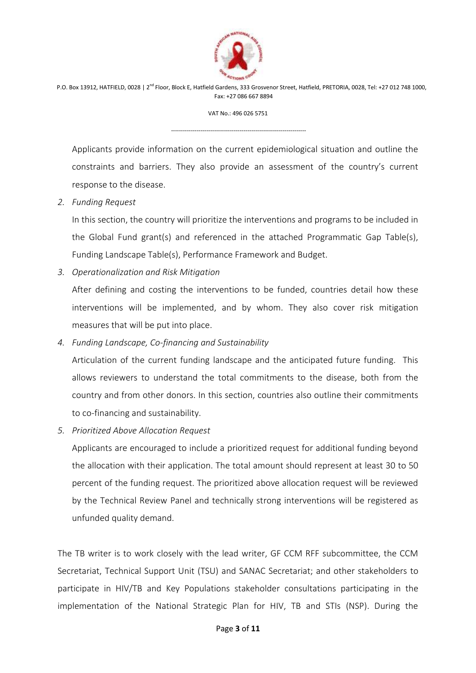

VAT No.: 496 026 5751

---------------------------------------------------------------------

Applicants provide information on the current epidemiological situation and outline the constraints and barriers. They also provide an assessment of the country's current response to the disease.

*2. Funding Request* 

In this section, the country will prioritize the interventions and programs to be included in the Global Fund grant(s) and referenced in the attached Programmatic Gap Table(s), Funding Landscape Table(s), Performance Framework and Budget.

*3. Operationalization and Risk Mitigation* 

After defining and costing the interventions to be funded, countries detail how these interventions will be implemented, and by whom. They also cover risk mitigation measures that will be put into place.

*4. Funding Landscape, Co-financing and Sustainability* 

Articulation of the current funding landscape and the anticipated future funding. This allows reviewers to understand the total commitments to the disease, both from the country and from other donors. In this section, countries also outline their commitments to co-financing and sustainability.

*5. Prioritized Above Allocation Request* 

Applicants are encouraged to include a prioritized request for additional funding beyond the allocation with their application. The total amount should represent at least 30 to 50 percent of the funding request. The prioritized above allocation request will be reviewed by the Technical Review Panel and technically strong interventions will be registered as unfunded quality demand.

The TB writer is to work closely with the lead writer, GF CCM RFF subcommittee, the CCM Secretariat, Technical Support Unit (TSU) and SANAC Secretariat; and other stakeholders to participate in HIV/TB and Key Populations stakeholder consultations participating in the implementation of the National Strategic Plan for HIV, TB and STIs (NSP). During the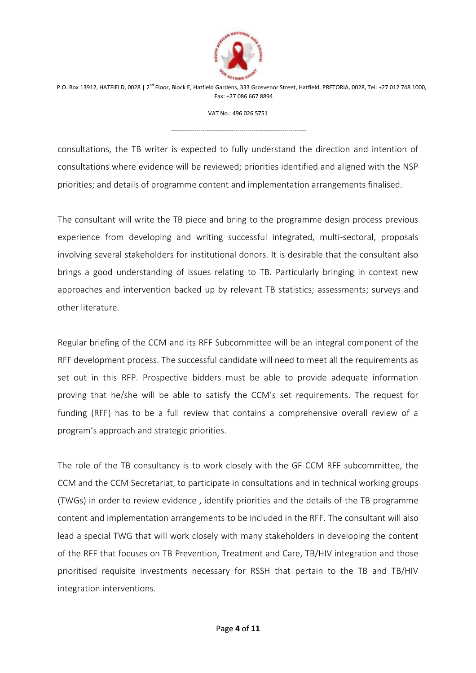

VAT No.: 496 026 5751

---------------------------------------------------------------------

consultations, the TB writer is expected to fully understand the direction and intention of consultations where evidence will be reviewed; priorities identified and aligned with the NSP priorities; and details of programme content and implementation arrangements finalised.

The consultant will write the TB piece and bring to the programme design process previous experience from developing and writing successful integrated, multi-sectoral, proposals involving several stakeholders for institutional donors. It is desirable that the consultant also brings a good understanding of issues relating to TB. Particularly bringing in context new approaches and intervention backed up by relevant TB statistics; assessments; surveys and other literature.

Regular briefing of the CCM and its RFF Subcommittee will be an integral component of the RFF development process. The successful candidate will need to meet all the requirements as set out in this RFP. Prospective bidders must be able to provide adequate information proving that he/she will be able to satisfy the CCM's set requirements. The request for funding (RFF) has to be a full review that contains a comprehensive overall review of a program's approach and strategic priorities.

The role of the TB consultancy is to work closely with the GF CCM RFF subcommittee, the CCM and the CCM Secretariat, to participate in consultations and in technical working groups (TWGs) in order to review evidence , identify priorities and the details of the TB programme content and implementation arrangements to be included in the RFF. The consultant will also lead a special TWG that will work closely with many stakeholders in developing the content of the RFF that focuses on TB Prevention, Treatment and Care, TB/HIV integration and those prioritised requisite investments necessary for RSSH that pertain to the TB and TB/HIV integration interventions.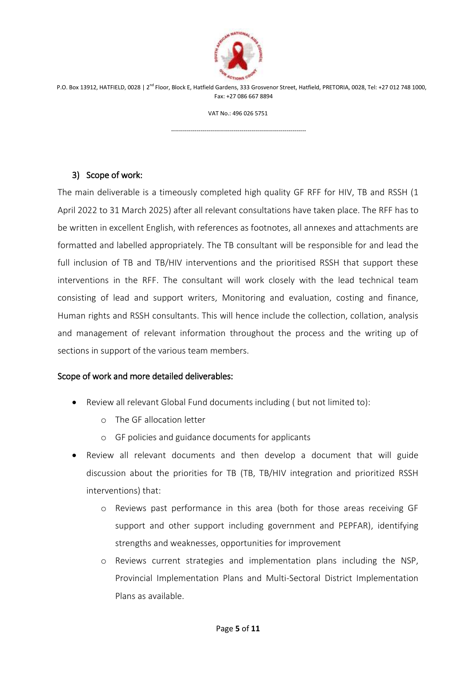

VAT No.: 496 026 5751

---------------------------------------------------------------------

### 3) Scope of work:

The main deliverable is a timeously completed high quality GF RFF for HIV, TB and RSSH (1) April 2022 to 31 March 2025) after all relevant consultations have taken place. The RFF has to be written in excellent English, with references as footnotes, all annexes and attachments are formatted and labelled appropriately. The TB consultant will be responsible for and lead the full inclusion of TB and TB/HIV interventions and the prioritised RSSH that support these interventions in the RFF. The consultant will work closely with the lead technical team consisting of lead and support writers, Monitoring and evaluation, costing and finance, Human rights and RSSH consultants. This will hence include the collection, collation, analysis and management of relevant information throughout the process and the writing up of sections in support of the various team members.

#### Scope of work and more detailed deliverables:

- Review all relevant Global Fund documents including ( but not limited to):
	- o The GF allocation letter
	- o GF policies and guidance documents for applicants
- Review all relevant documents and then develop a document that will guide discussion about the priorities for TB (TB, TB/HIV integration and prioritized RSSH interventions) that:
	- o Reviews past performance in this area (both for those areas receiving GF support and other support including government and PEPFAR), identifying strengths and weaknesses, opportunities for improvement
	- o Reviews current strategies and implementation plans including the NSP, Provincial Implementation Plans and Multi-Sectoral District Implementation Plans as available.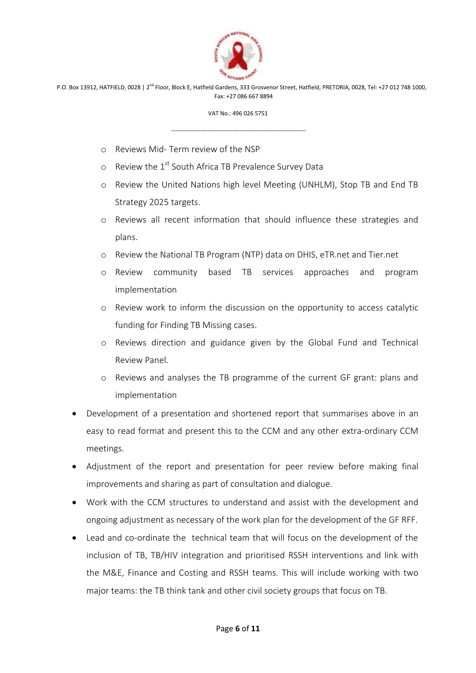

VAT No.: 496 026 5751

---------------------------------------------------------------------

- o Reviews Mid- Term review of the NSP
- $\circ$  Review the 1<sup>st</sup> South Africa TB Prevalence Survey Data
- o Review the United Nations high level Meeting (UNHLM), Stop TB and End TB Strategy 2025 targets.
- o Reviews all recent information that should influence these strategies and plans.
- o Review the National TB Program (NTP) data on DHIS, eTR.net and Tier.net
- o Review community based TB services approaches and program implementation
- o Review work to inform the discussion on the opportunity to access catalytic funding for Finding TB Missing cases.
- o Reviews direction and guidance given by the Global Fund and Technical Review Panel.
- o Reviews and analyses the TB programme of the current GF grant: plans and implementation
- Development of a presentation and shortened report that summarises above in an easy to read format and present this to the CCM and any other extra-ordinary CCM meetings.
- Adjustment of the report and presentation for peer review before making final improvements and sharing as part of consultation and dialogue.
- Work with the CCM structures to understand and assist with the development and ongoing adjustment as necessary of the work plan for the development of the GF RFF.
- Lead and co-ordinate the technical team that will focus on the development of the inclusion of TB, TB/HIV integration and prioritised RSSH interventions and link with the M&E, Finance and Costing and RSSH teams. This will include working with two major teams: the TB think tank and other civil society groups that focus on TB.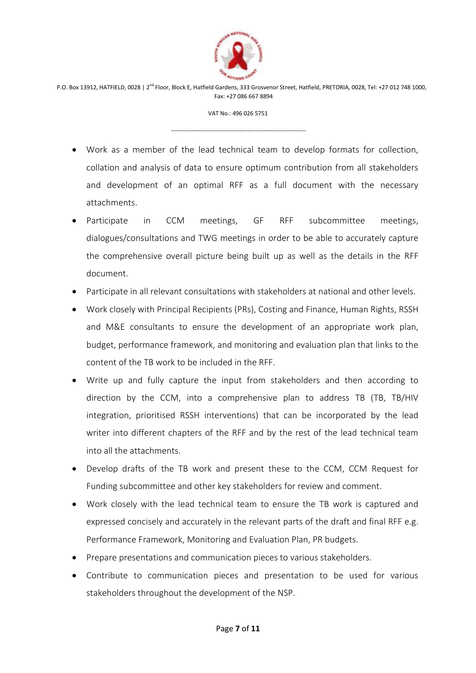

VAT No.: 496 026 5751

---------------------------------------------------------------------

- Work as a member of the lead technical team to develop formats for collection, collation and analysis of data to ensure optimum contribution from all stakeholders and development of an optimal RFF as a full document with the necessary attachments.
- Participate in CCM meetings, GF RFF subcommittee meetings, dialogues/consultations and TWG meetings in order to be able to accurately capture the comprehensive overall picture being built up as well as the details in the RFF document.
- Participate in all relevant consultations with stakeholders at national and other levels.
- Work closely with Principal Recipients (PRs), Costing and Finance, Human Rights, RSSH and M&E consultants to ensure the development of an appropriate work plan, budget, performance framework, and monitoring and evaluation plan that links to the content of the TB work to be included in the RFF.
- Write up and fully capture the input from stakeholders and then according to direction by the CCM, into a comprehensive plan to address TB (TB, TB/HIV integration, prioritised RSSH interventions) that can be incorporated by the lead writer into different chapters of the RFF and by the rest of the lead technical team into all the attachments.
- Develop drafts of the TB work and present these to the CCM, CCM Request for Funding subcommittee and other key stakeholders for review and comment.
- Work closely with the lead technical team to ensure the TB work is captured and expressed concisely and accurately in the relevant parts of the draft and final RFF e.g. Performance Framework, Monitoring and Evaluation Plan, PR budgets.
- Prepare presentations and communication pieces to various stakeholders.
- Contribute to communication pieces and presentation to be used for various stakeholders throughout the development of the NSP.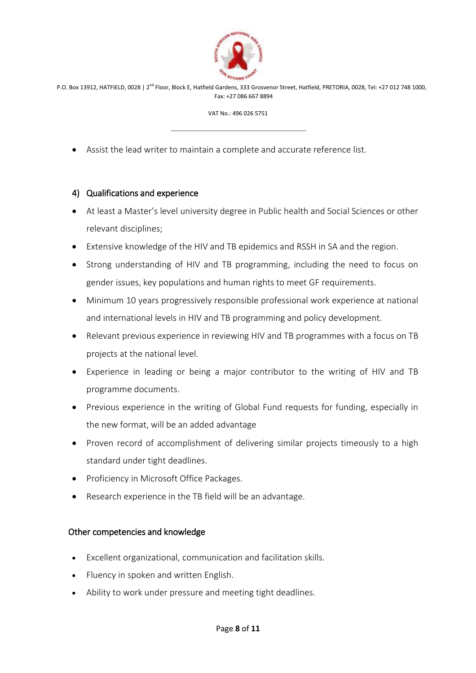

VAT No.: 496 026 5751

---------------------------------------------------------------------

Assist the lead writer to maintain a complete and accurate reference list.

#### 4) Qualifications and experience

- At least a Master's level university degree in Public health and Social Sciences or other relevant disciplines;
- Extensive knowledge of the HIV and TB epidemics and RSSH in SA and the region.
- Strong understanding of HIV and TB programming, including the need to focus on gender issues, key populations and human rights to meet GF requirements.
- Minimum 10 years progressively responsible professional work experience at national and international levels in HIV and TB programming and policy development.
- Relevant previous experience in reviewing HIV and TB programmes with a focus on TB projects at the national level.
- Experience in leading or being a major contributor to the writing of HIV and TB programme documents.
- Previous experience in the writing of Global Fund requests for funding, especially in the new format, will be an added advantage
- Proven record of accomplishment of delivering similar projects timeously to a high standard under tight deadlines.
- Proficiency in Microsoft Office Packages.
- Research experience in the TB field will be an advantage.

#### Other competencies and knowledge

- Excellent organizational, communication and facilitation skills.
- Fluency in spoken and written English.
- Ability to work under pressure and meeting tight deadlines.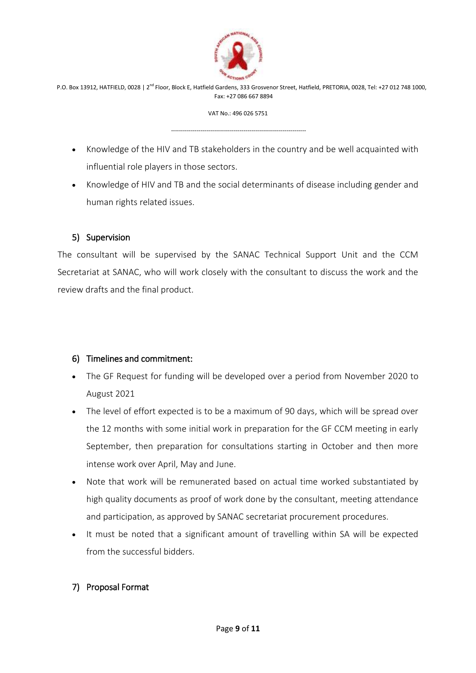

VAT No.: 496 026 5751

---------------------------------------------------------------------

- Knowledge of the HIV and TB stakeholders in the country and be well acquainted with influential role players in those sectors.
- Knowledge of HIV and TB and the social determinants of disease including gender and human rights related issues.

## 5) Supervision

The consultant will be supervised by the SANAC Technical Support Unit and the CCM Secretariat at SANAC, who will work closely with the consultant to discuss the work and the review drafts and the final product.

## 6) Timelines and commitment:

- The GF Request for funding will be developed over a period from November 2020 to August 2021
- The level of effort expected is to be a maximum of 90 days, which will be spread over the 12 months with some initial work in preparation for the GF CCM meeting in early September, then preparation for consultations starting in October and then more intense work over April, May and June.
- Note that work will be remunerated based on actual time worked substantiated by high quality documents as proof of work done by the consultant, meeting attendance and participation, as approved by SANAC secretariat procurement procedures.
- It must be noted that a significant amount of travelling within SA will be expected from the successful bidders.

## 7) Proposal Format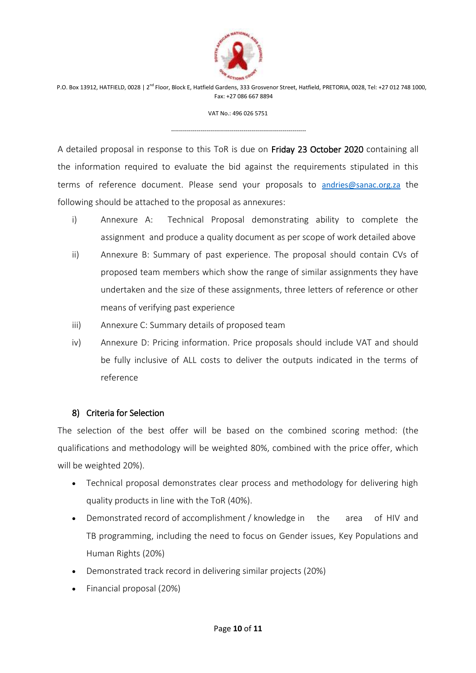

VAT No.: 496 026 5751

---------------------------------------------------------------------

A detailed proposal in response to this ToR is due on Friday 23 October 2020 containing all the information required to evaluate the bid against the requirements stipulated in this terms of reference document. Please send your proposals to [andries@sanac.org.za](mailto:andries@sanac.org.za) the following should be attached to the proposal as annexures:

- i) Annexure A: Technical Proposal demonstrating ability to complete the assignment and produce a quality document as per scope of work detailed above
- ii) Annexure B: Summary of past experience. The proposal should contain CVs of proposed team members which show the range of similar assignments they have undertaken and the size of these assignments, three letters of reference or other means of verifying past experience
- iii) Annexure C: Summary details of proposed team
- iv) Annexure D: Pricing information. Price proposals should include VAT and should be fully inclusive of ALL costs to deliver the outputs indicated in the terms of reference

#### 8) Criteria for Selection

The selection of the best offer will be based on the combined scoring method: (the qualifications and methodology will be weighted 80%, combined with the price offer, which will be weighted 20%).

- Technical proposal demonstrates clear process and methodology for delivering high quality products in line with the ToR (40%).
- Demonstrated record of accomplishment / knowledge in the area of HIV and TB programming, including the need to focus on Gender issues, Key Populations and Human Rights (20%)
- Demonstrated track record in delivering similar projects (20%)
- Financial proposal (20%)